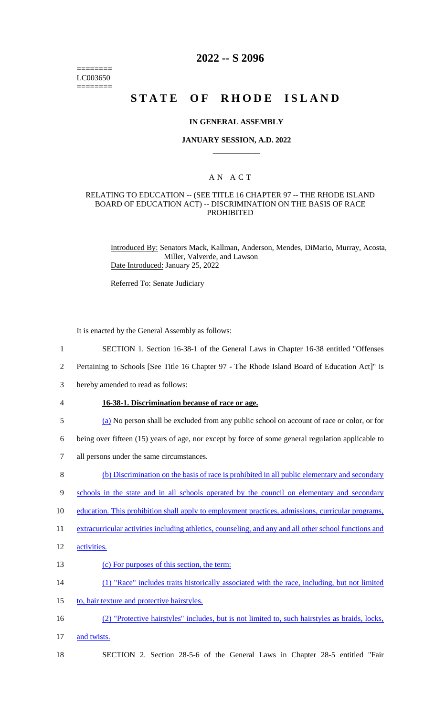======== LC003650 ========

# **2022 -- S 2096**

# **STATE OF RHODE ISLAND**

#### **IN GENERAL ASSEMBLY**

#### **JANUARY SESSION, A.D. 2022 \_\_\_\_\_\_\_\_\_\_\_\_**

## A N A C T

#### RELATING TO EDUCATION -- (SEE TITLE 16 CHAPTER 97 -- THE RHODE ISLAND BOARD OF EDUCATION ACT) -- DISCRIMINATION ON THE BASIS OF RACE PROHIBITED

Introduced By: Senators Mack, Kallman, Anderson, Mendes, DiMario, Murray, Acosta, Miller, Valverde, and Lawson Date Introduced: January 25, 2022

Referred To: Senate Judiciary

It is enacted by the General Assembly as follows:

- 1 SECTION 1. Section 16-38-1 of the General Laws in Chapter 16-38 entitled "Offenses
- 2 Pertaining to Schools [See Title 16 Chapter 97 The Rhode Island Board of Education Act]" is
- 3 hereby amended to read as follows:
- 4 **16-38-1. Discrimination because of race or age.**
- 5 (a) No person shall be excluded from any public school on account of race or color, or for
- 6 being over fifteen (15) years of age, nor except by force of some general regulation applicable to
- 7 all persons under the same circumstances.
- 8 (b) Discrimination on the basis of race is prohibited in all public elementary and secondary
- 9 schools in the state and in all schools operated by the council on elementary and secondary
- 10 education. This prohibition shall apply to employment practices, admissions, curricular programs,
- 11 extracurricular activities including athletics, counseling, and any and all other school functions and
- 12 activities.
- 13 (c) For purposes of this section, the term:
- 14 (1) "Race" includes traits historically associated with the race, including, but not limited
- 15 to, hair texture and protective hairstyles.
- 16 (2) "Protective hairstyles" includes, but is not limited to, such hairstyles as braids, locks,
- 17 and twists.
- 18 SECTION 2. Section 28-5-6 of the General Laws in Chapter 28-5 entitled "Fair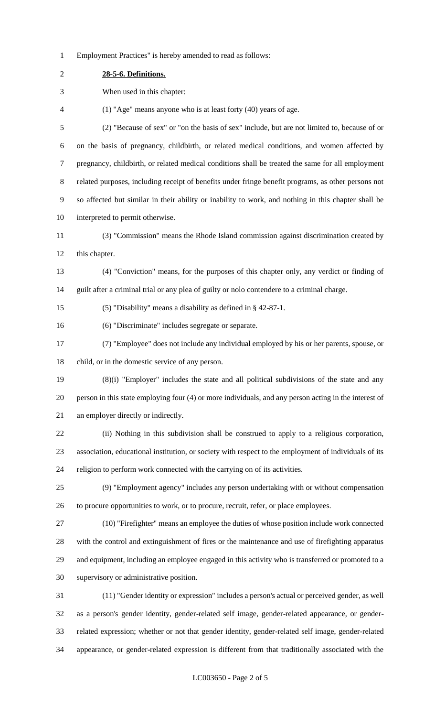Employment Practices" is hereby amended to read as follows:

| 28-5-6. Definitions.                                                                                  |
|-------------------------------------------------------------------------------------------------------|
| When used in this chapter:                                                                            |
| (1) "Age" means anyone who is at least forty (40) years of age.                                       |
| (2) "Because of sex" or "on the basis of sex" include, but are not limited to, because of or          |
| on the basis of pregnancy, childbirth, or related medical conditions, and women affected by           |
| pregnancy, childbirth, or related medical conditions shall be treated the same for all employment     |
| related purposes, including receipt of benefits under fringe benefit programs, as other persons not   |
| so affected but similar in their ability or inability to work, and nothing in this chapter shall be   |
| interpreted to permit otherwise.                                                                      |
| (3) "Commission" means the Rhode Island commission against discrimination created by                  |
| this chapter.                                                                                         |
| (4) "Conviction" means, for the purposes of this chapter only, any verdict or finding of              |
| guilt after a criminal trial or any plea of guilty or nolo contendere to a criminal charge.           |
| (5) "Disability" means a disability as defined in $\S$ 42-87-1.                                       |
| (6) "Discriminate" includes segregate or separate.                                                    |
| (7) "Employee" does not include any individual employed by his or her parents, spouse, or             |
| child, or in the domestic service of any person.                                                      |
| (8)(i) "Employer" includes the state and all political subdivisions of the state and any              |
| person in this state employing four (4) or more individuals, and any person acting in the interest of |
| an employer directly or indirectly.                                                                   |
| (ii) Nothing in this subdivision shall be construed to apply to a religious corporation,              |
| association, educational institution, or society with respect to the employment of individuals of its |
| religion to perform work connected with the carrying on of its activities.                            |
| (9) "Employment agency" includes any person undertaking with or without compensation                  |
| to procure opportunities to work, or to procure, recruit, refer, or place employees.                  |
| (10) "Firefighter" means an employee the duties of whose position include work connected              |
| with the control and extinguishment of fires or the maintenance and use of firefighting apparatus     |
| and equipment, including an employee engaged in this activity who is transferred or promoted to a     |
| supervisory or administrative position.                                                               |
| (11) "Gender identity or expression" includes a person's actual or perceived gender, as well          |
| as a person's gender identity, gender-related self image, gender-related appearance, or gender-       |
| related expression; whether or not that gender identity, gender-related self image, gender-related    |
| appearance, or gender-related expression is different from that traditionally associated with the     |
|                                                                                                       |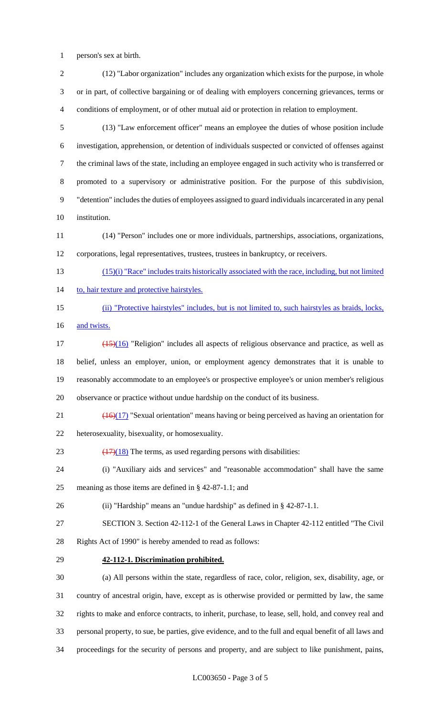person's sex at birth.

 (12) "Labor organization" includes any organization which exists for the purpose, in whole or in part, of collective bargaining or of dealing with employers concerning grievances, terms or conditions of employment, or of other mutual aid or protection in relation to employment. (13) "Law enforcement officer" means an employee the duties of whose position include investigation, apprehension, or detention of individuals suspected or convicted of offenses against the criminal laws of the state, including an employee engaged in such activity who is transferred or promoted to a supervisory or administrative position. For the purpose of this subdivision, "detention" includes the duties of employees assigned to guard individuals incarcerated in any penal institution. (14) "Person" includes one or more individuals, partnerships, associations, organizations, corporations, legal representatives, trustees, trustees in bankruptcy, or receivers. (15)(i) "Race" includes traits historically associated with the race, including, but not limited 14 to, hair texture and protective hairstyles. (ii) "Protective hairstyles" includes, but is not limited to, such hairstyles as braids, locks,

16 and twists.

 $\frac{(15)(16)}{15}$  "Religion" includes all aspects of religious observance and practice, as well as belief, unless an employer, union, or employment agency demonstrates that it is unable to reasonably accommodate to an employee's or prospective employee's or union member's religious observance or practice without undue hardship on the conduct of its business.

- 21  $\left(\frac{(16)(17)}{25}\right)$  "Sexual orientation" means having or being perceived as having an orientation for heterosexuality, bisexuality, or homosexuality.
- 23  $\left(\frac{17}{18}\right)$  The terms, as used regarding persons with disabilities:
- (i) "Auxiliary aids and services" and "reasonable accommodation" shall have the same meaning as those items are defined in § 42-87-1.1; and

(ii) "Hardship" means an "undue hardship" as defined in § 42-87-1.1.

SECTION 3. Section 42-112-1 of the General Laws in Chapter 42-112 entitled "The Civil

Rights Act of 1990" is hereby amended to read as follows:

**42-112-1. Discrimination prohibited.**

 (a) All persons within the state, regardless of race, color, religion, sex, disability, age, or country of ancestral origin, have, except as is otherwise provided or permitted by law, the same rights to make and enforce contracts, to inherit, purchase, to lease, sell, hold, and convey real and personal property, to sue, be parties, give evidence, and to the full and equal benefit of all laws and proceedings for the security of persons and property, and are subject to like punishment, pains,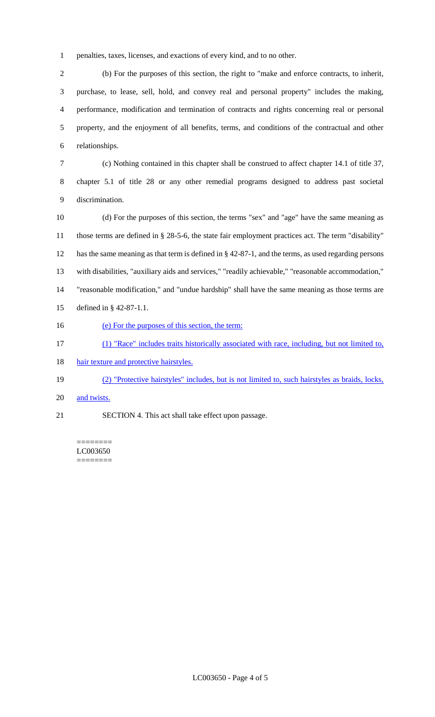penalties, taxes, licenses, and exactions of every kind, and to no other.

 (b) For the purposes of this section, the right to "make and enforce contracts, to inherit, purchase, to lease, sell, hold, and convey real and personal property" includes the making, performance, modification and termination of contracts and rights concerning real or personal property, and the enjoyment of all benefits, terms, and conditions of the contractual and other relationships.

 (c) Nothing contained in this chapter shall be construed to affect chapter 14.1 of title 37, chapter 5.1 of title 28 or any other remedial programs designed to address past societal discrimination.

 (d) For the purposes of this section, the terms "sex" and "age" have the same meaning as those terms are defined in § 28-5-6, the state fair employment practices act. The term "disability" has the same meaning as that term is defined in § 42-87-1, and the terms, as used regarding persons with disabilities, "auxiliary aids and services," "readily achievable," "reasonable accommodation," "reasonable modification," and "undue hardship" shall have the same meaning as those terms are defined in § 42-87-1.1.

16 (e) For the purposes of this section, the term:

(1) "Race" includes traits historically associated with race, including, but not limited to,

18 hair texture and protective hairstyles.

(2) "Protective hairstyles" includes, but is not limited to, such hairstyles as braids, locks,

- 20 and twists.
- SECTION 4. This act shall take effect upon passage.

======== LC003650 ========